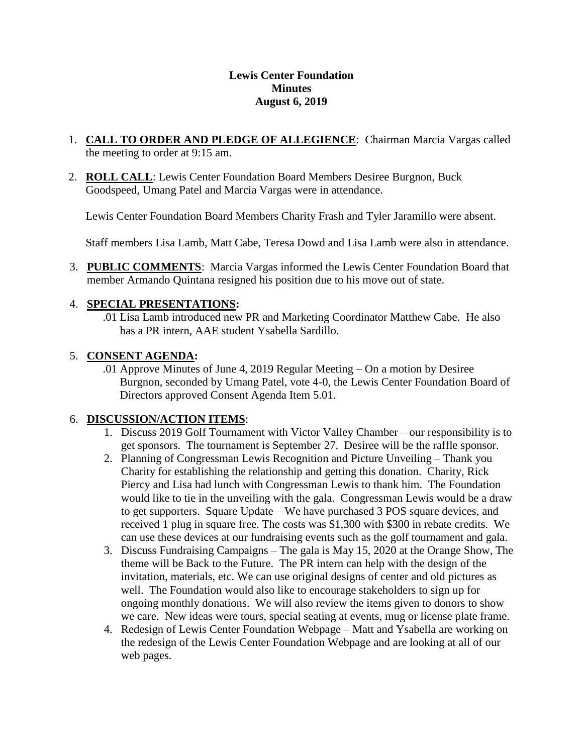### **Lewis Center Foundation Minutes August 6, 2019**

- 1. **CALL TO ORDER AND PLEDGE OF ALLEGIENCE**: Chairman Marcia Vargas called the meeting to order at 9:15 am.
- 2. **ROLL CALL**: Lewis Center Foundation Board Members Desiree Burgnon, Buck Goodspeed, Umang Patel and Marcia Vargas were in attendance.

Lewis Center Foundation Board Members Charity Frash and Tyler Jaramillo were absent.

Staff members Lisa Lamb, Matt Cabe, Teresa Dowd and Lisa Lamb were also in attendance.

3. **PUBLIC COMMENTS**: Marcia Vargas informed the Lewis Center Foundation Board that member Armando Quintana resigned his position due to his move out of state.

# 4. **SPECIAL PRESENTATIONS:**

.01 Lisa Lamb introduced new PR and Marketing Coordinator Matthew Cabe. He also has a PR intern, AAE student Ysabella Sardillo.

# 5. **CONSENT AGENDA:**

.01 Approve Minutes of June 4, 2019 Regular Meeting – On a motion by Desiree Burgnon, seconded by Umang Patel, vote 4-0, the Lewis Center Foundation Board of Directors approved Consent Agenda Item 5.01.

# 6. **DISCUSSION/ACTION ITEMS**:

- 1. Discuss 2019 Golf Tournament with Victor Valley Chamber our responsibility is to get sponsors. The tournament is September 27. Desiree will be the raffle sponsor.
- 2. Planning of Congressman Lewis Recognition and Picture Unveiling Thank you Charity for establishing the relationship and getting this donation. Charity, Rick Piercy and Lisa had lunch with Congressman Lewis to thank him. The Foundation would like to tie in the unveiling with the gala. Congressman Lewis would be a draw to get supporters. Square Update – We have purchased 3 POS square devices, and received 1 plug in square free. The costs was \$1,300 with \$300 in rebate credits. We can use these devices at our fundraising events such as the golf tournament and gala.
- 3. Discuss Fundraising Campaigns The gala is May 15, 2020 at the Orange Show, The theme will be Back to the Future. The PR intern can help with the design of the invitation, materials, etc. We can use original designs of center and old pictures as well. The Foundation would also like to encourage stakeholders to sign up for ongoing monthly donations. We will also review the items given to donors to show we care. New ideas were tours, special seating at events, mug or license plate frame.
- 4. Redesign of Lewis Center Foundation Webpage Matt and Ysabella are working on the redesign of the Lewis Center Foundation Webpage and are looking at all of our web pages.